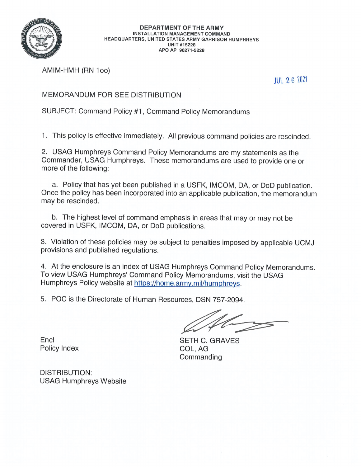

**DEPARTMENT OF THE ARMY INSTALLATION MANAGEMENT COMMAND** HEADQUARTERS, UNITED STATES ARMY GARRISON HUMPHREYS **UNIT #15228** APO AP 96271-5228

AMIM-HMH (RN 100)

**JUL 26 2021** 

## MEMORANDUM FOR SEE DISTRIBUTION

SUBJECT: Command Policy #1, Command Policy Memorandums

1. This policy is effective immediately. All previous command policies are rescinded.

2. USAG Humphreys Command Policy Memorandums are my statements as the Commander, USAG Humphreys. These memorandums are used to provide one or more of the following:

a. Policy that has yet been published in a USFK, IMCOM, DA, or DoD publication. Once the policy has been incorporated into an applicable publication, the memorandum may be rescinded.

b. The highest level of command emphasis in areas that may or may not be covered in USFK, IMCOM, DA, or DoD publications.

3. Violation of these policies may be subject to penalties imposed by applicable UCMJ provisions and published regulations.

4. At the enclosure is an index of USAG Humphreys Command Policy Memorandums. To view USAG Humphreys' Command Policy Memorandums, visit the USAG Humphreys Policy website at https://home.army.mil/humphreys.

5. POC is the Directorate of Human Resources, DSN 757-2094.

**SETH C. GRAVES** COL, AG Commanding

Encl Policy Index

DISTRIBUTION: **USAG Humphreys Website**